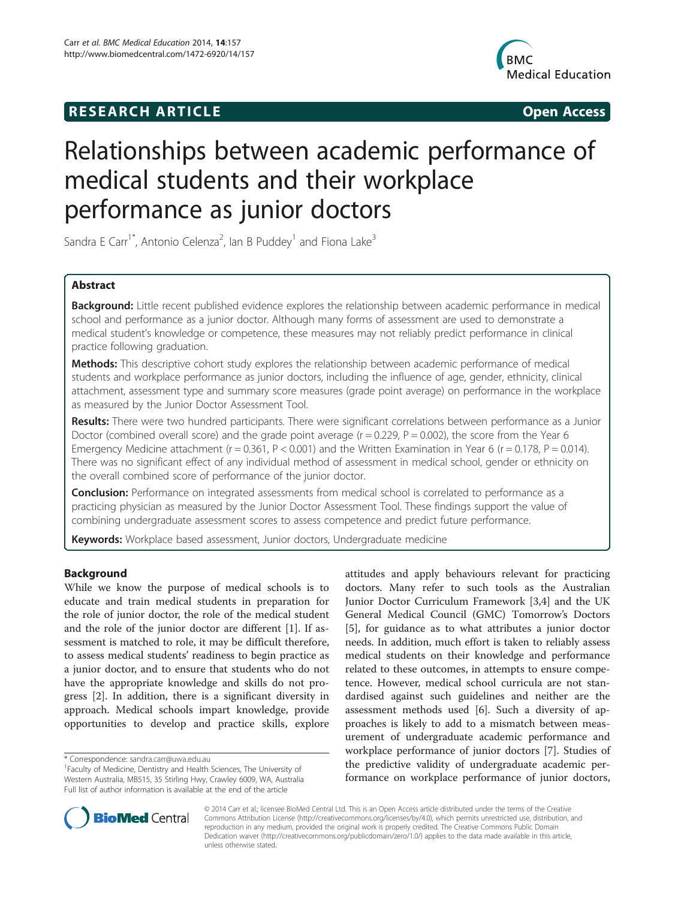# **RESEARCH ARTICLE Example 2014 CONSIDERING CONSIDERING CONSIDERING CONSIDERING CONSIDERING CONSIDERING CONSIDERING CONSIDERING CONSIDERING CONSIDERING CONSIDERING CONSIDERING CONSIDERING CONSIDERING CONSIDERING CONSIDE**



# Relationships between academic performance of medical students and their workplace performance as junior doctors

Sandra E Carr<sup>1\*</sup>, Antonio Celenza<sup>2</sup>, Ian B Puddey<sup>1</sup> and Fiona Lake<sup>3</sup>

# Abstract

Background: Little recent published evidence explores the relationship between academic performance in medical school and performance as a junior doctor. Although many forms of assessment are used to demonstrate a medical student's knowledge or competence, these measures may not reliably predict performance in clinical practice following graduation.

Methods: This descriptive cohort study explores the relationship between academic performance of medical students and workplace performance as junior doctors, including the influence of age, gender, ethnicity, clinical attachment, assessment type and summary score measures (grade point average) on performance in the workplace as measured by the Junior Doctor Assessment Tool.

Results: There were two hundred participants. There were significant correlations between performance as a Junior Doctor (combined overall score) and the grade point average ( $r = 0.229$ ,  $P = 0.002$ ), the score from the Year 6 Emergency Medicine attachment ( $r = 0.361$ ,  $P < 0.001$ ) and the Written Examination in Year 6 ( $r = 0.178$ ,  $P = 0.014$ ). There was no significant effect of any individual method of assessment in medical school, gender or ethnicity on the overall combined score of performance of the junior doctor.

**Conclusion:** Performance on integrated assessments from medical school is correlated to performance as a practicing physician as measured by the Junior Doctor Assessment Tool. These findings support the value of combining undergraduate assessment scores to assess competence and predict future performance.

Keywords: Workplace based assessment, Junior doctors, Undergraduate medicine

# Background

While we know the purpose of medical schools is to educate and train medical students in preparation for the role of junior doctor, the role of the medical student and the role of the junior doctor are different [[1\]](#page-5-0). If assessment is matched to role, it may be difficult therefore, to assess medical students' readiness to begin practice as a junior doctor, and to ensure that students who do not have the appropriate knowledge and skills do not progress [[2\]](#page-5-0). In addition, there is a significant diversity in approach. Medical schools impart knowledge, provide opportunities to develop and practice skills, explore attitudes and apply behaviours relevant for practicing doctors. Many refer to such tools as the Australian Junior Doctor Curriculum Framework [[3,4\]](#page-5-0) and the UK General Medical Council (GMC) Tomorrow's Doctors [[5\]](#page-5-0), for guidance as to what attributes a junior doctor needs. In addition, much effort is taken to reliably assess medical students on their knowledge and performance related to these outcomes, in attempts to ensure competence. However, medical school curricula are not standardised against such guidelines and neither are the assessment methods used [[6](#page-5-0)]. Such a diversity of approaches is likely to add to a mismatch between measurement of undergraduate academic performance and workplace performance of junior doctors [\[7](#page-5-0)]. Studies of the predictive validity of undergraduate academic performance on workplace performance of junior doctors,



© 2014 Carr et al.; licensee BioMed Central Ltd. This is an Open Access article distributed under the terms of the Creative Commons Attribution License [\(http://creativecommons.org/licenses/by/4.0\)](http://creativecommons.org/licenses/by/4.0), which permits unrestricted use, distribution, and reproduction in any medium, provided the original work is properly credited. The Creative Commons Public Domain Dedication waiver [\(http://creativecommons.org/publicdomain/zero/1.0/](http://creativecommons.org/publicdomain/zero/1.0/)) applies to the data made available in this article, unless otherwise stated.

<sup>\*</sup> Correspondence: [sandra.carr@uwa.edu.au](mailto:sandra.carr@uwa.edu.au) <sup>1</sup>

<sup>&</sup>lt;sup>1</sup> Faculty of Medicine, Dentistry and Health Sciences, The University of Western Australia, MB515, 35 Stirling Hwy, Crawley 6009, WA, Australia Full list of author information is available at the end of the article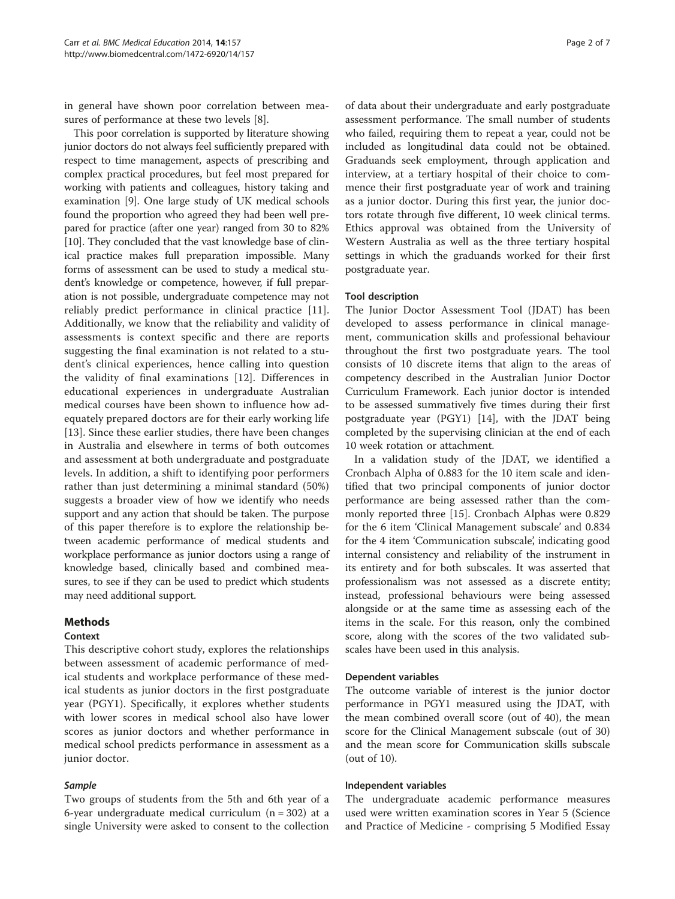in general have shown poor correlation between measures of performance at these two levels [\[8](#page-5-0)].

This poor correlation is supported by literature showing junior doctors do not always feel sufficiently prepared with respect to time management, aspects of prescribing and complex practical procedures, but feel most prepared for working with patients and colleagues, history taking and examination [\[9](#page-6-0)]. One large study of UK medical schools found the proportion who agreed they had been well prepared for practice (after one year) ranged from 30 to 82% [[10](#page-6-0)]. They concluded that the vast knowledge base of clinical practice makes full preparation impossible. Many forms of assessment can be used to study a medical student's knowledge or competence, however, if full preparation is not possible, undergraduate competence may not reliably predict performance in clinical practice [\[11](#page-6-0)]. Additionally, we know that the reliability and validity of assessments is context specific and there are reports suggesting the final examination is not related to a student's clinical experiences, hence calling into question the validity of final examinations [[12\]](#page-6-0). Differences in educational experiences in undergraduate Australian medical courses have been shown to influence how adequately prepared doctors are for their early working life [[13\]](#page-6-0). Since these earlier studies, there have been changes in Australia and elsewhere in terms of both outcomes and assessment at both undergraduate and postgraduate levels. In addition, a shift to identifying poor performers rather than just determining a minimal standard (50%) suggests a broader view of how we identify who needs support and any action that should be taken. The purpose of this paper therefore is to explore the relationship between academic performance of medical students and workplace performance as junior doctors using a range of knowledge based, clinically based and combined measures, to see if they can be used to predict which students may need additional support.

#### Methods

#### Context

This descriptive cohort study, explores the relationships between assessment of academic performance of medical students and workplace performance of these medical students as junior doctors in the first postgraduate year (PGY1). Specifically, it explores whether students with lower scores in medical school also have lower scores as junior doctors and whether performance in medical school predicts performance in assessment as a junior doctor.

#### Sample

Two groups of students from the 5th and 6th year of a 6-year undergraduate medical curriculum  $(n = 302)$  at a single University were asked to consent to the collection

of data about their undergraduate and early postgraduate assessment performance. The small number of students who failed, requiring them to repeat a year, could not be included as longitudinal data could not be obtained. Graduands seek employment, through application and interview, at a tertiary hospital of their choice to commence their first postgraduate year of work and training as a junior doctor. During this first year, the junior doctors rotate through five different, 10 week clinical terms. Ethics approval was obtained from the University of Western Australia as well as the three tertiary hospital settings in which the graduands worked for their first postgraduate year.

#### Tool description

The Junior Doctor Assessment Tool (JDAT) has been developed to assess performance in clinical management, communication skills and professional behaviour throughout the first two postgraduate years. The tool consists of 10 discrete items that align to the areas of competency described in the Australian Junior Doctor Curriculum Framework. Each junior doctor is intended to be assessed summatively five times during their first postgraduate year (PGY1) [[14](#page-6-0)], with the JDAT being completed by the supervising clinician at the end of each 10 week rotation or attachment.

In a validation study of the JDAT, we identified a Cronbach Alpha of 0.883 for the 10 item scale and identified that two principal components of junior doctor performance are being assessed rather than the commonly reported three [[15\]](#page-6-0). Cronbach Alphas were 0.829 for the 6 item 'Clinical Management subscale' and 0.834 for the 4 item 'Communication subscale', indicating good internal consistency and reliability of the instrument in its entirety and for both subscales. It was asserted that professionalism was not assessed as a discrete entity; instead, professional behaviours were being assessed alongside or at the same time as assessing each of the items in the scale. For this reason, only the combined score, along with the scores of the two validated subscales have been used in this analysis.

#### Dependent variables

The outcome variable of interest is the junior doctor performance in PGY1 measured using the JDAT, with the mean combined overall score (out of 40), the mean score for the Clinical Management subscale (out of 30) and the mean score for Communication skills subscale (out of 10).

#### Independent variables

The undergraduate academic performance measures used were written examination scores in Year 5 (Science and Practice of Medicine - comprising 5 Modified Essay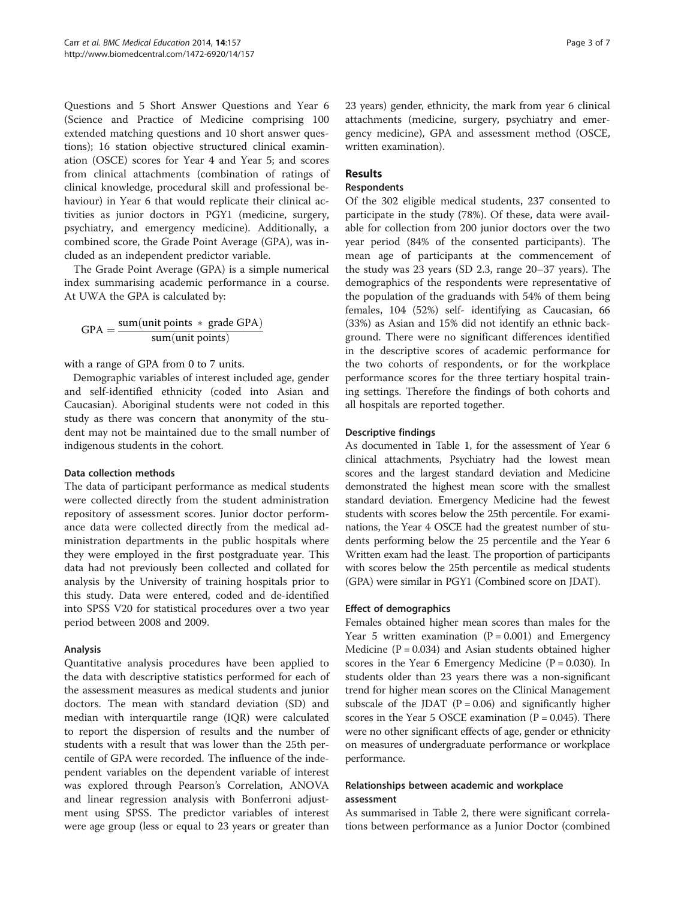Questions and 5 Short Answer Questions and Year 6 (Science and Practice of Medicine comprising 100 extended matching questions and 10 short answer questions); 16 station objective structured clinical examination (OSCE) scores for Year 4 and Year 5; and scores from clinical attachments (combination of ratings of clinical knowledge, procedural skill and professional behaviour) in Year 6 that would replicate their clinical activities as junior doctors in PGY1 (medicine, surgery, psychiatry, and emergency medicine). Additionally, a combined score, the Grade Point Average (GPA), was included as an independent predictor variable.

The Grade Point Average (GPA) is a simple numerical index summarising academic performance in a course. At UWA the GPA is calculated by:

$$
GPA = \frac{sum(unit points * grade GPA)}{sum(unit points)}
$$

with a range of GPA from 0 to 7 units.

Demographic variables of interest included age, gender and self-identified ethnicity (coded into Asian and Caucasian). Aboriginal students were not coded in this study as there was concern that anonymity of the student may not be maintained due to the small number of indigenous students in the cohort.

#### Data collection methods

The data of participant performance as medical students were collected directly from the student administration repository of assessment scores. Junior doctor performance data were collected directly from the medical administration departments in the public hospitals where they were employed in the first postgraduate year. This data had not previously been collected and collated for analysis by the University of training hospitals prior to this study. Data were entered, coded and de-identified into SPSS V20 for statistical procedures over a two year period between 2008 and 2009.

#### Analysis

Quantitative analysis procedures have been applied to the data with descriptive statistics performed for each of the assessment measures as medical students and junior doctors. The mean with standard deviation (SD) and median with interquartile range (IQR) were calculated to report the dispersion of results and the number of students with a result that was lower than the 25th percentile of GPA were recorded. The influence of the independent variables on the dependent variable of interest was explored through Pearson's Correlation, ANOVA and linear regression analysis with Bonferroni adjustment using SPSS. The predictor variables of interest were age group (less or equal to 23 years or greater than 23 years) gender, ethnicity, the mark from year 6 clinical attachments (medicine, surgery, psychiatry and emergency medicine), GPA and assessment method (OSCE, written examination).

# Results

#### **Respondents**

Of the 302 eligible medical students, 237 consented to participate in the study (78%). Of these, data were available for collection from 200 junior doctors over the two year period (84% of the consented participants). The mean age of participants at the commencement of the study was 23 years (SD 2.3, range 20–37 years). The demographics of the respondents were representative of the population of the graduands with 54% of them being females, 104 (52%) self- identifying as Caucasian, 66 (33%) as Asian and 15% did not identify an ethnic background. There were no significant differences identified in the descriptive scores of academic performance for the two cohorts of respondents, or for the workplace performance scores for the three tertiary hospital training settings. Therefore the findings of both cohorts and all hospitals are reported together.

#### Descriptive findings

As documented in Table [1](#page-3-0), for the assessment of Year 6 clinical attachments, Psychiatry had the lowest mean scores and the largest standard deviation and Medicine demonstrated the highest mean score with the smallest standard deviation. Emergency Medicine had the fewest students with scores below the 25th percentile. For examinations, the Year 4 OSCE had the greatest number of students performing below the 25 percentile and the Year 6 Written exam had the least. The proportion of participants with scores below the 25th percentile as medical students (GPA) were similar in PGY1 (Combined score on JDAT).

#### Effect of demographics

Females obtained higher mean scores than males for the Year 5 written examination  $(P = 0.001)$  and Emergency Medicine ( $P = 0.034$ ) and Asian students obtained higher scores in the Year 6 Emergency Medicine  $(P = 0.030)$ . In students older than 23 years there was a non-significant trend for higher mean scores on the Clinical Management subscale of the JDAT ( $P = 0.06$ ) and significantly higher scores in the Year 5 OSCE examination  $(P = 0.045)$ . There were no other significant effects of age, gender or ethnicity on measures of undergraduate performance or workplace performance.

### Relationships between academic and workplace assessment

As summarised in Table [2,](#page-3-0) there were significant correlations between performance as a Junior Doctor (combined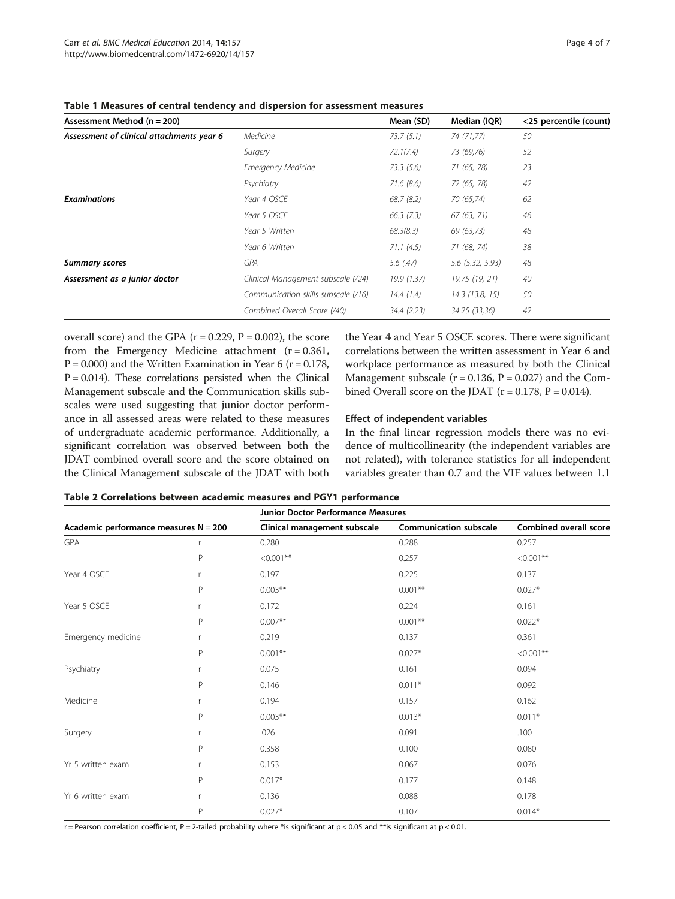<span id="page-3-0"></span>Table 1 Measures of central tendency and dispersion for assessment measures

| Assessment Method ( $n = 200$ )           |                                     | Mean (SD)   | Median (IQR)       | <25 percentile (count) |
|-------------------------------------------|-------------------------------------|-------------|--------------------|------------------------|
| Assessment of clinical attachments year 6 | Medicine                            | 73.7(5.1)   | 74 (71,77)         | 50                     |
|                                           | Surgery                             | 72.1(7.4)   | 73 (69,76)         | 52                     |
|                                           | <b>Emergency Medicine</b>           | 73.3(5.6)   | 71(65, 78)         | 23                     |
|                                           | Psychiatry                          | 71.6(8.6)   | 72 (65, 78)        | 42                     |
| <b>Examinations</b>                       | Year 4 OSCE                         | 68.7(8.2)   | 70 (65,74)         | 62                     |
|                                           | Year 5 OSCE                         | 66.3(7.3)   | 67(63, 71)         | 46                     |
|                                           | Year 5 Written                      | 68.3(8.3)   | 69 (63,73)         | 48                     |
|                                           | Year 6 Written                      | 71.1(4.5)   | 71 (68, 74)        | 38                     |
| <b>Summary scores</b>                     | GPA                                 | $5.6$ (.47) | $5.6$ (5.32, 5.93) | 48                     |
| Assessment as a junior doctor             | Clinical Management subscale (/24)  | 19.9 (1.37) | 19.75 (19, 21)     | 40                     |
|                                           | Communication skills subscale (/16) | 14.4(1.4)   | 14.3 (13.8, 15)    | 50                     |
|                                           | Combined Overall Score (/40)        | 34.4 (2.23) | 34.25 (33,36)      | 42                     |

overall score) and the GPA ( $r = 0.229$ ,  $P = 0.002$ ), the score from the Emergency Medicine attachment  $(r = 0.361,$  $P = 0.000$ ) and the Written Examination in Year 6 (r = 0.178,  $P = 0.014$ ). These correlations persisted when the Clinical Management subscale and the Communication skills subscales were used suggesting that junior doctor performance in all assessed areas were related to these measures of undergraduate academic performance. Additionally, a significant correlation was observed between both the JDAT combined overall score and the score obtained on the Clinical Management subscale of the JDAT with both the Year 4 and Year 5 OSCE scores. There were significant correlations between the written assessment in Year 6 and workplace performance as measured by both the Clinical Management subscale ( $r = 0.136$ ,  $P = 0.027$ ) and the Combined Overall score on the JDAT ( $r = 0.178$ ,  $P = 0.014$ ).

#### Effect of independent variables

In the final linear regression models there was no evidence of multicollinearity (the independent variables are not related), with tolerance statistics for all independent variables greater than 0.7 and the VIF values between 1.1

|                                         |              | <b>Junior Doctor Performance Measures</b> |                               |                               |
|-----------------------------------------|--------------|-------------------------------------------|-------------------------------|-------------------------------|
| Academic performance measures $N = 200$ |              | Clinical management subscale              | <b>Communication subscale</b> | <b>Combined overall score</b> |
| <b>GPA</b>                              | $\mathsf{r}$ | 0.280                                     | 0.288                         | 0.257                         |
|                                         | P            | $< 0.001$ **                              | 0.257                         | $< 0.001$ **                  |
| Year 4 OSCE                             | r            | 0.197                                     | 0.225                         | 0.137                         |
|                                         | P            | $0.003**$                                 | $0.001***$                    | $0.027*$                      |
| Year 5 OSCE                             | r            | 0.172                                     | 0.224                         | 0.161                         |
|                                         | P            | $0.007**$                                 | $0.001***$                    | $0.022*$                      |
| Emergency medicine                      | r            | 0.219                                     | 0.137                         | 0.361                         |
|                                         | P            | $0.001***$                                | $0.027*$                      | $< 0.001$ **                  |
| Psychiatry                              | $\mathsf{r}$ | 0.075                                     | 0.161                         | 0.094                         |
|                                         | P            | 0.146                                     | $0.011*$                      | 0.092                         |
| Medicine                                | r            | 0.194                                     | 0.157                         | 0.162                         |
|                                         | P            | $0.003**$                                 | $0.013*$                      | $0.011*$                      |
| Surgery                                 | $\mathsf{r}$ | .026                                      | 0.091                         | .100                          |
|                                         | P            | 0.358                                     | 0.100                         | 0.080                         |
| Yr 5 written exam                       | r            | 0.153                                     | 0.067                         | 0.076                         |
|                                         | P            | $0.017*$                                  | 0.177                         | 0.148                         |
| Yr 6 written exam                       | $\mathsf{r}$ | 0.136                                     | 0.088                         | 0.178                         |
|                                         | P            | $0.027*$                                  | 0.107                         | $0.014*$                      |

r = Pearson correlation coefficient, P = 2-tailed probability where \*is significant at p < 0.05 and \*\*is significant at p < 0.01.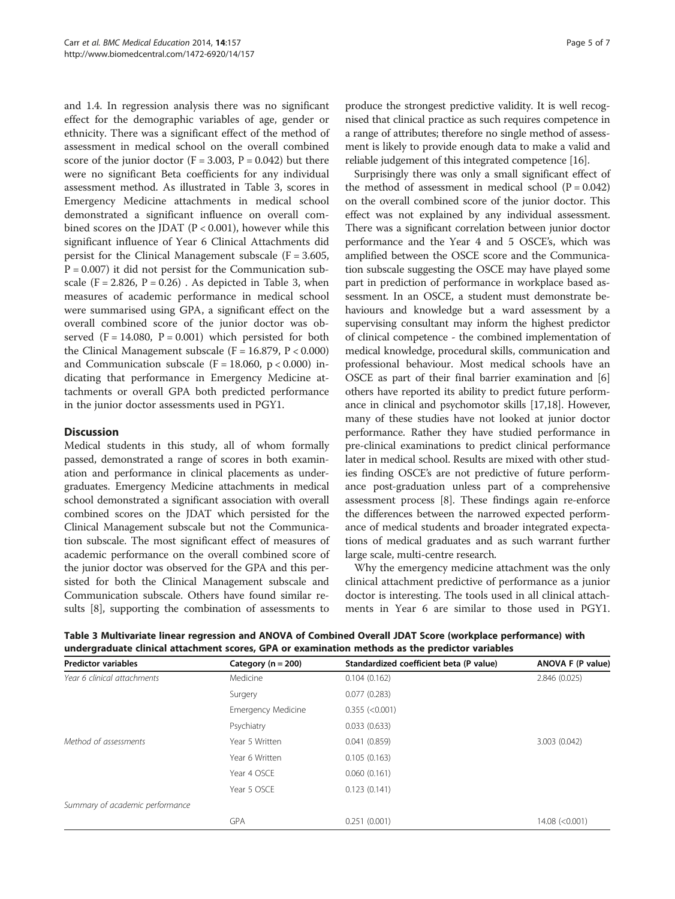and 1.4. In regression analysis there was no significant effect for the demographic variables of age, gender or ethnicity. There was a significant effect of the method of assessment in medical school on the overall combined score of the junior doctor  $(F = 3.003, P = 0.042)$  but there were no significant Beta coefficients for any individual assessment method. As illustrated in Table 3, scores in Emergency Medicine attachments in medical school demonstrated a significant influence on overall combined scores on the JDAT (P < 0.001), however while this significant influence of Year 6 Clinical Attachments did persist for the Clinical Management subscale  $(F = 3.605,$  $P = 0.007$ ) it did not persist for the Communication subscale (F = 2.826, P = 0.26). As depicted in Table 3, when measures of academic performance in medical school were summarised using GPA, a significant effect on the overall combined score of the junior doctor was observed  $(F = 14.080, P = 0.001)$  which persisted for both the Clinical Management subscale  $(F = 16.879, P < 0.000)$ and Communication subscale  $(F = 18.060, p < 0.000)$  indicating that performance in Emergency Medicine attachments or overall GPA both predicted performance in the junior doctor assessments used in PGY1.

#### **Discussion**

Medical students in this study, all of whom formally passed, demonstrated a range of scores in both examination and performance in clinical placements as undergraduates. Emergency Medicine attachments in medical school demonstrated a significant association with overall combined scores on the JDAT which persisted for the Clinical Management subscale but not the Communication subscale. The most significant effect of measures of academic performance on the overall combined score of the junior doctor was observed for the GPA and this persisted for both the Clinical Management subscale and Communication subscale. Others have found similar results [[8](#page-5-0)], supporting the combination of assessments to

produce the strongest predictive validity. It is well recognised that clinical practice as such requires competence in a range of attributes; therefore no single method of assessment is likely to provide enough data to make a valid and reliable judgement of this integrated competence [[16](#page-6-0)].

Surprisingly there was only a small significant effect of the method of assessment in medical school  $(P = 0.042)$ on the overall combined score of the junior doctor. This effect was not explained by any individual assessment. There was a significant correlation between junior doctor performance and the Year 4 and 5 OSCE's, which was amplified between the OSCE score and the Communication subscale suggesting the OSCE may have played some part in prediction of performance in workplace based assessment. In an OSCE, a student must demonstrate behaviours and knowledge but a ward assessment by a supervising consultant may inform the highest predictor of clinical competence - the combined implementation of medical knowledge, procedural skills, communication and professional behaviour. Most medical schools have an OSCE as part of their final barrier examination and [[6](#page-5-0)] others have reported its ability to predict future performance in clinical and psychomotor skills [\[17,18](#page-6-0)]. However, many of these studies have not looked at junior doctor performance. Rather they have studied performance in pre-clinical examinations to predict clinical performance later in medical school. Results are mixed with other studies finding OSCE's are not predictive of future performance post-graduation unless part of a comprehensive assessment process [\[8](#page-5-0)]. These findings again re-enforce the differences between the narrowed expected performance of medical students and broader integrated expectations of medical graduates and as such warrant further large scale, multi-centre research.

Why the emergency medicine attachment was the only clinical attachment predictive of performance as a junior doctor is interesting. The tools used in all clinical attachments in Year 6 are similar to those used in PGY1.

Table 3 Multivariate linear regression and ANOVA of Combined Overall JDAT Score (workplace performance) with undergraduate clinical attachment scores, GPA or examination methods as the predictor variables

| <b>Predictor variables</b>      | Category ( $n = 200$ )    | Standardized coefficient beta (P value) | ANOVA F (P value) |
|---------------------------------|---------------------------|-----------------------------------------|-------------------|
| Year 6 clinical attachments     | Medicine                  | 0.104(0.162)                            | 2.846 (0.025)     |
|                                 | Surgery                   | 0.077(0.283)                            |                   |
|                                 | <b>Emergency Medicine</b> | $0.355$ (< $0.001$ )                    |                   |
|                                 | Psychiatry                | 0.033(0.633)                            |                   |
| Method of assessments           | Year 5 Written            | 0.041(0.859)                            | 3.003 (0.042)     |
|                                 | Year 6 Written            | 0.105(0.163)                            |                   |
|                                 | Year 4 OSCE               | 0.060(0.161)                            |                   |
|                                 | Year 5 OSCE               | 0.123(0.141)                            |                   |
| Summary of academic performance |                           |                                         |                   |
|                                 | <b>GPA</b>                | 0.251(0.001)                            | 14.08 (< 0.001)   |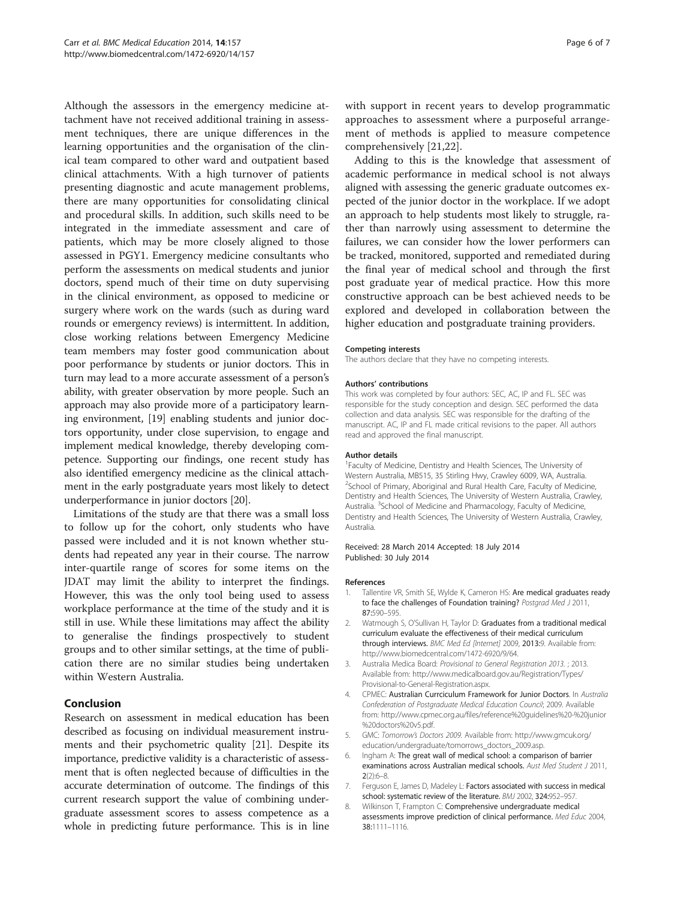<span id="page-5-0"></span>Although the assessors in the emergency medicine attachment have not received additional training in assessment techniques, there are unique differences in the learning opportunities and the organisation of the clinical team compared to other ward and outpatient based clinical attachments. With a high turnover of patients presenting diagnostic and acute management problems, there are many opportunities for consolidating clinical and procedural skills. In addition, such skills need to be integrated in the immediate assessment and care of patients, which may be more closely aligned to those assessed in PGY1. Emergency medicine consultants who perform the assessments on medical students and junior doctors, spend much of their time on duty supervising in the clinical environment, as opposed to medicine or surgery where work on the wards (such as during ward rounds or emergency reviews) is intermittent. In addition, close working relations between Emergency Medicine team members may foster good communication about poor performance by students or junior doctors. This in turn may lead to a more accurate assessment of a person's ability, with greater observation by more people. Such an approach may also provide more of a participatory learning environment, [[19](#page-6-0)] enabling students and junior doctors opportunity, under close supervision, to engage and implement medical knowledge, thereby developing competence. Supporting our findings, one recent study has also identified emergency medicine as the clinical attachment in the early postgraduate years most likely to detect underperformance in junior doctors [\[20\]](#page-6-0).

Limitations of the study are that there was a small loss to follow up for the cohort, only students who have passed were included and it is not known whether students had repeated any year in their course. The narrow inter-quartile range of scores for some items on the JDAT may limit the ability to interpret the findings. However, this was the only tool being used to assess workplace performance at the time of the study and it is still in use. While these limitations may affect the ability to generalise the findings prospectively to student groups and to other similar settings, at the time of publication there are no similar studies being undertaken within Western Australia.

#### Conclusion

Research on assessment in medical education has been described as focusing on individual measurement instruments and their psychometric quality [\[21](#page-6-0)]. Despite its importance, predictive validity is a characteristic of assessment that is often neglected because of difficulties in the accurate determination of outcome. The findings of this current research support the value of combining undergraduate assessment scores to assess competence as a whole in predicting future performance. This is in line with support in recent years to develop programmatic approaches to assessment where a purposeful arrangement of methods is applied to measure competence comprehensively [\[21](#page-6-0),[22\]](#page-6-0).

Adding to this is the knowledge that assessment of academic performance in medical school is not always aligned with assessing the generic graduate outcomes expected of the junior doctor in the workplace. If we adopt an approach to help students most likely to struggle, rather than narrowly using assessment to determine the failures, we can consider how the lower performers can be tracked, monitored, supported and remediated during the final year of medical school and through the first post graduate year of medical practice. How this more constructive approach can be best achieved needs to be explored and developed in collaboration between the higher education and postgraduate training providers.

#### Competing interests

The authors declare that they have no competing interests.

#### Authors' contributions

This work was completed by four authors: SEC, AC, IP and FL. SEC was responsible for the study conception and design. SEC performed the data collection and data analysis. SEC was responsible for the drafting of the manuscript. AC, IP and FL made critical revisions to the paper. All authors read and approved the final manuscript.

#### Author details

<sup>1</sup> Faculty of Medicine, Dentistry and Health Sciences, The University of Western Australia, MB515, 35 Stirling Hwy, Crawley 6009, WA, Australia. <sup>2</sup>School of Primary, Aboriginal and Rural Health Care, Faculty of Medicine Dentistry and Health Sciences, The University of Western Australia, Crawley, Australia. <sup>3</sup>School of Medicine and Pharmacology, Faculty of Medicine, Dentistry and Health Sciences, The University of Western Australia, Crawley, Australia.

Received: 28 March 2014 Accepted: 18 July 2014 Published: 30 July 2014

#### References

- 1. Tallentire VR, Smith SE, Wylde K, Cameron HS: Are medical graduates ready to face the challenges of Foundation training? Postgrad Med J 2011, 87:590–595.
- 2. Watmough S, O'Sullivan H, Taylor D: Graduates from a traditional medical curriculum evaluate the effectiveness of their medical curriculum through interviews. BMC Med Ed [Internet] 2009, 2013:9. Available from: [http://www.biomedcentral.com/1472-6920/9/64.](http://www.biomedcentral.com/1472-6920/9/64)
- 3. Australia Medica Board: Provisional to General Registration 2013. ; 2013. Available from: [http://www.medicalboard.gov.au/Registration/Types/](http://www.medicalboard.gov.au/Registration/Types/Provisional-to-General-Registration.aspx) [Provisional-to-General-Registration.aspx](http://www.medicalboard.gov.au/Registration/Types/Provisional-to-General-Registration.aspx).
- 4. CPMEC: Australian Currciculum Framework for Junior Doctors. In Australia Confederation of Postgraduate Medical Education Council; 2009. Available from: [http://www.cpmec.org.au/files/reference%20guidelines%20-%20junior](http://www.cpmec.org.au/files/reference%20guidelines%20-%20junior%20doctors%20v5.pdf) [%20doctors%20v5.pdf.](http://www.cpmec.org.au/files/reference%20guidelines%20-%20junior%20doctors%20v5.pdf)
- 5. GMC: Tomorrow's Doctors 2009. Available from: [http://www.gmcuk.org/](http://www.gmcuk.org/education/undergraduate/tomorrows_doctors_2009.asp) [education/undergraduate/tomorrows\\_doctors\\_2009.asp.](http://www.gmcuk.org/education/undergraduate/tomorrows_doctors_2009.asp)
- 6. Ingham A: The great wall of medical school: a comparison of barrier examinations across Australian medical schools. Aust Med Student J 2011,  $2(2):6-8$
- 7. Ferguson E, James D, Madeley L: Factors associated with success in medical school: systematic review of the literature. BMJ 2002, 324:952–957.
- 8. Wilkinson T, Frampton C: Comprehensive undergraduate medical assessments improve prediction of clinical performance. Med Educ 2004, 38:1111–1116.